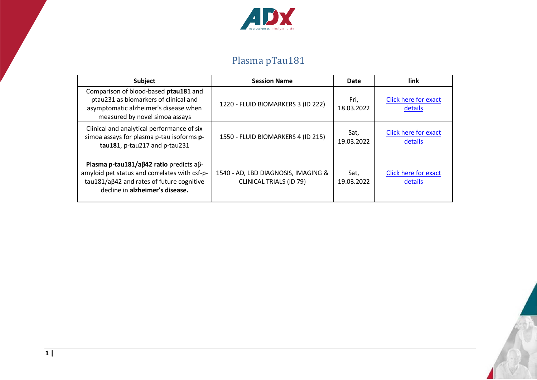

## Plasma pTau181

| <b>Subject</b>                                                                                                                                                                           | <b>Session Name</b>                                                   | Date               | link                                   |
|------------------------------------------------------------------------------------------------------------------------------------------------------------------------------------------|-----------------------------------------------------------------------|--------------------|----------------------------------------|
| Comparison of blood-based ptau181 and<br>ptau231 as biomarkers of clinical and<br>asymptomatic alzheimer's disease when<br>measured by novel simoa assays                                | 1220 - FLUID BIOMARKERS 3 (ID 222)                                    | Fri,<br>18.03.2022 | <b>Click here for exact</b><br>details |
| Clinical and analytical performance of six<br>simoa assays for plasma p-tau isoforms p-<br>tau181, p-tau217 and p-tau231                                                                 | 1550 - FLUID BIOMARKERS 4 (ID 215)                                    | Sat,<br>19.03.2022 | <b>Click here for exact</b><br>details |
| Plasma p-tau181/a $\beta$ 42 ratio predicts a $\beta$ -<br>amyloid pet status and correlates with csf-p-<br>tau181/aβ42 and rates of future cognitive<br>decline in alzheimer's disease. | 1540 - AD, LBD DIAGNOSIS, IMAGING &<br><b>CLINICAL TRIALS (ID 79)</b> | Sat,<br>19.03.2022 | <b>Click here for exact</b><br>details |

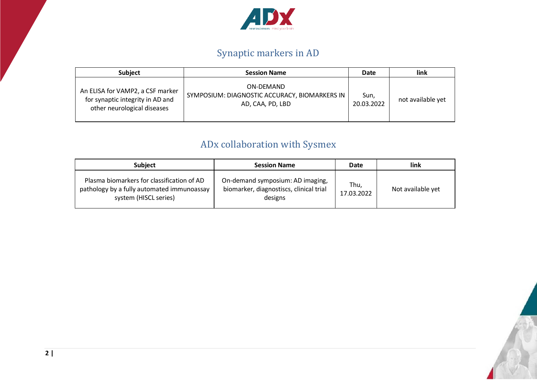

## Synaptic markers in AD

| <b>Subject</b>                                                                                      | <b>Session Name</b>                                                            | Date               | link              |
|-----------------------------------------------------------------------------------------------------|--------------------------------------------------------------------------------|--------------------|-------------------|
| An ELISA for VAMP2, a CSF marker<br>for synaptic integrity in AD and<br>other neurological diseases | ON-DEMAND<br>SYMPOSIUM: DIAGNOSTIC ACCURACY, BIOMARKERS IN<br>AD, CAA, PD, LBD | Sun,<br>20.03.2022 | not available yet |

## ADx collaboration with Sysmex

| <b>Subject</b>                                                                                                    | <b>Session Name</b>                                                                    | Date               | link              |
|-------------------------------------------------------------------------------------------------------------------|----------------------------------------------------------------------------------------|--------------------|-------------------|
| Plasma biomarkers for classification of AD<br>pathology by a fully automated immunoassay<br>system (HISCL series) | On-demand symposium: AD imaging,<br>biomarker, diagnostiscs, clinical trial<br>designs | Thu,<br>17.03.2022 | Not available yet |